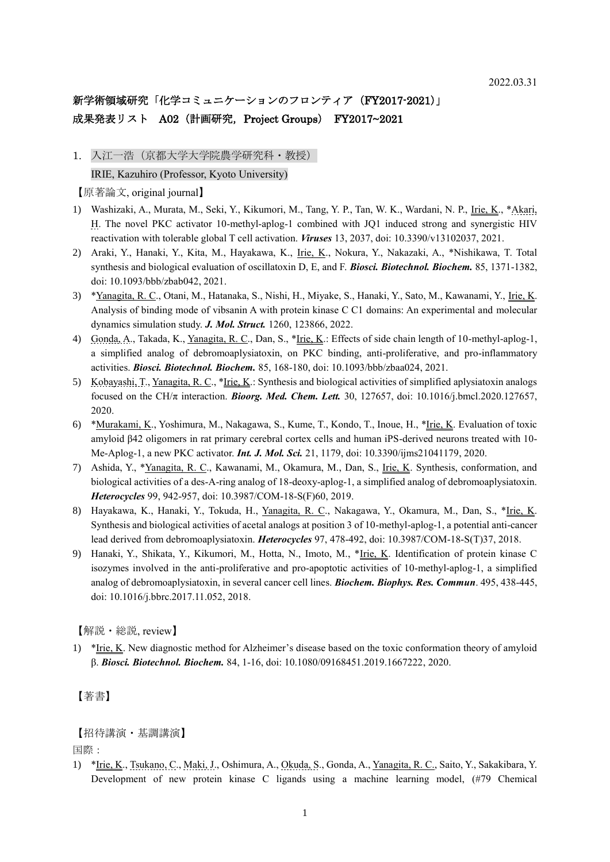## 新学術領域研究「化学コミュニケーションのフロンティア (FY2017-2021)」 成果発表リスト A02 (計画研究, Project Groups) FY2017~2021

1. 入江一浩(京都大学大学院農学研究科・教授)

IRIE, Kazuhiro (Professor, Kyoto University)

【原著論文, original journal】

- 1) Washizaki, A., Murata, M., Seki, Y., Kikumori, M., Tang, Y. P., Tan, W. K., Wardani, N. P., Irie, K., \*Akari, H. The novel PKC activator 10-methyl-aplog-1 combined with JQ1 induced strong and synergistic HIV reactivation with tolerable global T cell activation. *Viruses* 13, 2037, doi: 10.3390/v13102037, 2021.
- 2) Araki, Y., Hanaki, Y., Kita, M., Hayakawa, K., Irie, K., Nokura, Y., Nakazaki, A., \*Nishikawa, T. Total synthesis and biological evaluation of oscillatoxin D, E, and F. *Biosci. Biotechnol. Biochem.* 85, 1371-1382, doi: 10.1093/bbb/zbab042, 2021.
- 3) \*Yanagita, R. C., Otani, M., Hatanaka, S., Nishi, H., Miyake, S., Hanaki, Y., Sato, M., Kawanami, Y., Irie, K. Analysis of binding mode of vibsanin A with protein kinase C C1 domains: An experimental and molecular dynamics simulation study. *J. Mol. Struct.* 1260, 123866, 2022.
- 4) Gonda, A., Takada, K., Yanagita, R. C., Dan, S., \*Irie, K.: Effects of side chain length of 10-methyl-aplog-1, a simplified analog of debromoaplysiatoxin, on PKC binding, anti-proliferative, and pro-inflammatory activities. *Biosci. Biotechnol. Biochem.* 85, 168-180, doi: 10.1093/bbb/zbaa024, 2021.
- 5) Kobayashi, T., Yanagita, R. C., \*Irie, K.: Synthesis and biological activities of simplified aplysiatoxin analogs focused on the CH/ $\pi$  interaction. *Bioorg. Med. Chem. Lett.* 30, 127657, doi: 10.1016/j.bmcl.2020.127657, 2020.
- 6) \*Murakami, K., Yoshimura, M., Nakagawa, S., Kume, T., Kondo, T., Inoue, H., \*Irie, K. Evaluation of toxic amyloid β42 oligomers in rat primary cerebral cortex cells and human iPS-derived neurons treated with 10- Me-Aplog-1, a new PKC activator. *Int. J. Mol. Sci.* 21, 1179, doi: 10.3390/ijms21041179, 2020.
- 7) Ashida, Y., \*Yanagita, R. C., Kawanami, M., Okamura, M., Dan, S., Irie, K. Synthesis, conformation, and biological activities of a des-A-ring analog of 18-deoxy-aplog-1, a simplified analog of debromoaplysiatoxin. *Heterocycles* 99, 942-957, doi: 10.3987/COM-18-S(F)60, 2019.
- 8) Hayakawa, K., Hanaki, Y., Tokuda, H., Yanagita, R. C., Nakagawa, Y., Okamura, M., Dan, S., \*Irie, K. Synthesis and biological activities of acetal analogs at position 3 of 10-methyl-aplog-1, a potential anti-cancer lead derived from debromoaplysiatoxin. *Heterocycles* 97, 478-492, doi: 10.3987/COM-18-S(T)37, 2018.
- 9) Hanaki, Y., Shikata, Y., Kikumori, M., Hotta, N., Imoto, M., \*Irie, K. Identification of protein kinase C isozymes involved in the anti-proliferative and pro-apoptotic activities of 10-methyl-aplog-1, a simplified analog of debromoaplysiatoxin, in several cancer cell lines. *Biochem. Biophys. Res. Commun*. 495, 438-445, doi: 10.1016/j.bbrc.2017.11.052, 2018.

【解説・総説, review】

1) \*Irie, K. New diagnostic method for Alzheimer's disease based on the toxic conformation theory of amyloid β. *Biosci. Biotechnol. Biochem.* 84, 1-16, doi: 10.1080/09168451.2019.1667222, 2020.

#### 【著書】

【招待講演・基調講演】

国際:

1) \* Irie, K., Tsukano, C., Maki, J., Oshimura, A., Okuda, S., Gonda, A., Yanagita, R. C., Saito, Y., Sakakibara, Y. Development of new protein kinase C ligands using a machine learning model, (#79 Chemical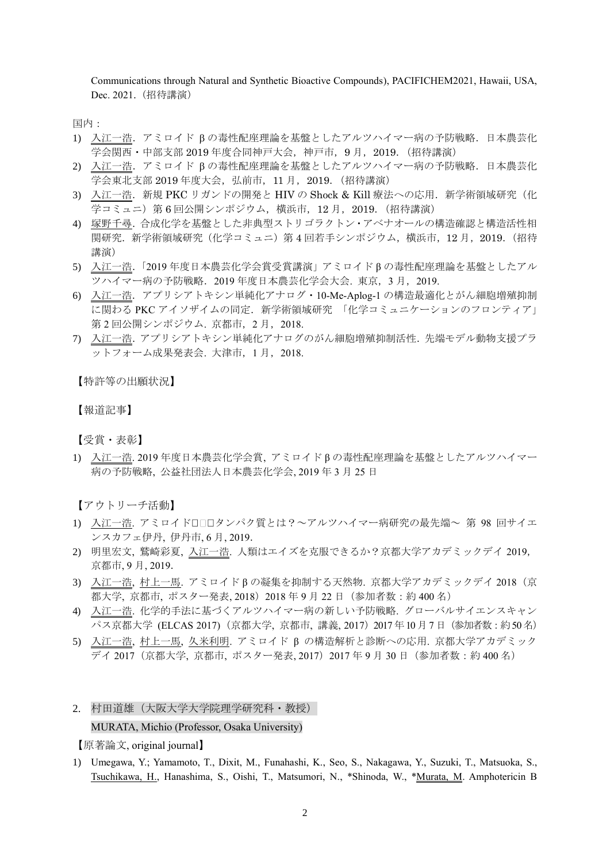Communications through Natural and Synthetic Bioactive Compounds), PACIFICHEM2021, Hawaii, USA, Dec. 2021. (招待講演)

国内:

- 1) 入江一浩. アミロイド βの毒性配座理論を基盤としたアルツハイマー病の予防戦略. 日本農芸化 学会関西・中部支部 2019 年度合同神戸大会,神戸市,9 月,2019.(招待講演)
- 2) 入江一浩. アミロイド βの毒性配座理論を基盤としたアルツハイマー病の予防戦略. 日本農芸化 学会東北支部 2019 年度大会, 弘前市, 11 月, 2019. (招待講演)
- 3) 入江一浩. 新規 PKC リガンドの開発と HIV の Shock & Kill 療法への応用. 新学術領域研究(化 学コミュニ)第 6 回公開シンポジウム,横浜市,12 月,2019.(招待講演)
- 4) 塚野千尋.合成化学を基盤とした非典型ストリゴラクトン・アベナオールの構造確認と構造活性相 関研究.新学術領域研究(化学コミュニ)第 4 回若手シンポジウム,横浜市,12 月,2019.(招待 講演)
- 5) 入江一浩.「2019 年度日本農芸化学会賞受賞講演」アミロイド β の毒性配座理論を基盤としたアル ツハイマー病の予防戦略.2019 年度日本農芸化学会大会. 東京,3 月,2019.
- 6) 入江一浩.アプリシアトキシン単純化アナログ・10-Me-Aplog-1 の構造最適化とがん細胞増殖抑制 に関わる PKC アイソザイムの同定. 新学術領域研究 「化学コミュニケーションのフロンティア」 第2回公開シンポジウム. 京都市, 2月, 2018.
- 7) 入江一浩.アプリシアトキシン単純化アナログのがん細胞増殖抑制活性.先端モデル動物支援プラ ットフォーム成果発表会. 大津市,1 月,2018.

【特許等の出願状況】

【報道記事】

【受賞・表彰】

1) 入江一浩. 2019 年度日本農芸化学会賞, アミロイド β の毒性配座理論を基盤としたアルツハイマー 病の予防戦略, 公益社団法人日本農芸化学会, 2019 年 3 月 25 日

【アウトリーチ活動】

- 1) 入江一浩. アミロイドロ□ロタンパク質とは?~アルツハイマー病研究の最先端~ 第 98 回サイエ ンスカフェ伊丹, 伊丹市, 6 月, 2019.
- 2) 明里宏文, 鷲崎彩夏, 入江一浩. 人類はエイズを克服できるか?京都大学アカデミックデイ 2019, 京都市, 9 月, 2019.
- 3) 入江一浩, 村上一馬. アミロイド β の凝集を抑制する天然物. 京都大学アカデミックデイ 2018(京 都大学, 京都市, ポスター発表, 2018) 2018 年 9 月 22 日 (参加者数: 約 400 名)
- 4) 入江一浩. 化学的手法に基づくアルツハイマー病の新しい予防戦略. グローバルサイエンスキャン パス京都大学 (ELCAS 2017) (京都大学, 京都市, 講義, 2017) 2017 年10 月 7 日 (参加者数: 約 50 名)
- 5) 入江一浩, 村上一馬, 久米利明. アミロイド β の構造解析と診断への応用. 京都大学アカデミック デイ 2017 (京都大学, 京都市, ポスター発表, 2017) 2017 年 9 月 30 日 (参加者数:約 400 名)

# 2. 村田道雄(大阪大学大学院理学研究科・教授) MURATA, Michio (Professor, Osaka University)

【原著論文, original journal】

1) Umegawa, Y.; Yamamoto, T., Dixit, M., Funahashi, K., Seo, S., Nakagawa, Y., Suzuki, T., Matsuoka, S., Tsuchikawa, H., Hanashima, S., Oishi, T., Matsumori, N., \*Shinoda, W., \*Murata, M. Amphotericin B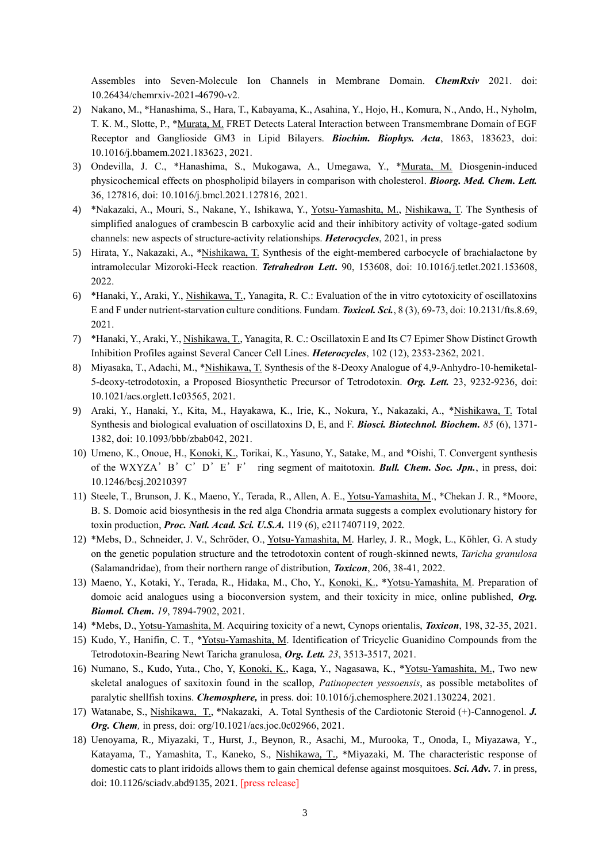Assembles into Seven-Molecule Ion Channels in Membrane Domain. *ChemRxiv* 2021. doi: 10.26434/chemrxiv-2021-46790-v2.

- 2) Nakano, M., \*Hanashima, S., Hara, T., Kabayama, K., Asahina, Y., Hojo, H., Komura, N., Ando, H., Nyholm, T. K. M., Slotte, P., \*Murata, M. FRET Detects Lateral Interaction between Transmembrane Domain of EGF Receptor and Ganglioside GM3 in Lipid Bilayers. *Biochim. Biophys. Acta*, 1863, 183623, doi: 10.1016/j.bbamem.2021.183623, 2021.
- 3) Ondevilla, J. C., \*Hanashima, S., Mukogawa, A., Umegawa, Y., \*Murata, M. Diosgenin-induced physicochemical effects on phospholipid bilayers in comparison with cholesterol. *Bioorg. Med. Chem. Lett.* 36, 127816, doi: 10.1016/j.bmcl.2021.127816, 2021.
- 4) \*Nakazaki, A., Mouri, S., Nakane, Y., Ishikawa, Y., Yotsu-Yamashita, M., Nishikawa, T. The Synthesis of simplified analogues of crambescin B carboxylic acid and their inhibitory activity of voltage-gated sodium channels: new aspects of structure-activity relationships. *Heterocycles*, 2021, in press
- 5) Hirata, Y., Nakazaki, A., \*Nishikawa, T. Synthesis of the eight-membered carbocycle of brachialactone by intramolecular Mizoroki-Heck reaction. *Tetrahedron Lett***.** 90, 153608, doi: 10.1016/j.tetlet.2021.153608, 2022.
- 6) \*Hanaki, Y., Araki, Y., Nishikawa, T., Yanagita, R. C.: Evaluation of the in vitro cytotoxicity of oscillatoxins E and F under nutrient-starvation culture conditions. Fundam. *Toxicol. Sci.*, 8 (3), 69-73, doi: 10.2131/fts.8.69, 2021.
- 7) \*Hanaki, Y., Araki, Y., Nishikawa, T., Yanagita, R. C.: Oscillatoxin E and Its C7 Epimer Show Distinct Growth Inhibition Profiles against Several Cancer Cell Lines. *Heterocycles*, 102 (12), 2353-2362, 2021.
- 8) Miyasaka, T., Adachi, M., \*Nishikawa, T. Synthesis of the 8-Deoxy Analogue of 4,9-Anhydro-10-hemiketal-5-deoxy-tetrodotoxin, a Proposed Biosynthetic Precursor of Tetrodotoxin. *Org. Lett.* 23, 9232-9236, doi: 10.1021/acs.orglett.1c03565, 2021.
- 9) Araki, Y., Hanaki, Y., Kita, M., Hayakawa, K., Irie, K., Nokura, Y., Nakazaki, A., \*Nishikawa, T. Total Synthesis and biological evaluation of oscillatoxins D, E, and F. *Biosci. Biotechnol. Biochem. 85* (6), 1371- 1382, doi: 10.1093/bbb/zbab042, 2021.
- 10) Umeno, K., Onoue, H., Konoki, K., Torikai, K., Yasuno, Y., Satake, M., and \*Oishi, T. Convergent synthesis of the WXYZA'B'C'D'E'F' ring segment of maitotoxin. *Bull. Chem. Soc. Jpn.*, in press, doi: 10.1246/bcsj.20210397
- 11) Steele, T., Brunson, J. K., Maeno, Y., Terada, R., Allen, A. E., Yotsu-Yamashita, M., \*Chekan J. R., \*Moore, B. S. Domoic acid biosynthesis in the red alga Chondria armata suggests a complex evolutionary history for toxin production, *Proc. Natl. Acad. Sci. U.S.A.* 119 (6), e2117407119, 2022.
- 12) \*Mebs, D., Schneider, J. V., Schröder, O., Yotsu-Yamashita, M. Harley, J. R., Mogk, L., Köhler, G. A study on the genetic population structure and the tetrodotoxin content of rough-skinned newts, *Taricha granulosa* (Salamandridae), from their northern range of distribution, *Toxicon*, 206, 38-41, 2022.
- 13) Maeno, Y., Kotaki, Y., Terada, R., Hidaka, M., Cho, Y., Konoki, K., \*Yotsu-Yamashita, M. Preparation of domoic acid analogues using a bioconversion system, and their toxicity in mice, online published, *Org. Biomol. Chem. 19*, 7894-7902, 2021.
- 14) \*Mebs, D., Yotsu-Yamashita, M. Acquiring toxicity of a newt, Cynops orientalis, *Toxicon*, 198, 32-35, 2021.
- 15) Kudo, Y., Hanifin, C. T., \*Yotsu-Yamashita, M. Identification of Tricyclic Guanidino Compounds from the Tetrodotoxin-Bearing Newt Taricha granulosa, *Org. Lett. 23*, 3513-3517, 2021.
- 16) Numano, S., Kudo, Yuta., Cho, Y, Konoki, K., Kaga, Y., Nagasawa, K., \*Yotsu-Yamashita, M., Two new skeletal analogues of saxitoxin found in the scallop, *Patinopecten yessoensis*, as possible metabolites of paralytic shellfish toxins. *Chemosphere,* in press. doi: 10.1016/j.chemosphere.2021.130224, 2021.
- 17) Watanabe, S., Nishikawa, T., \*Nakazaki, A. Total Synthesis of the Cardiotonic Steroid (+)-Cannogenol. *J. Org. Chem,* in press, doi: org/10.1021/acs.joc.0c02966, 2021.
- 18) Uenoyama, R., Miyazaki, T., Hurst, J., Beynon, R., Asachi, M., Murooka, T., Onoda, I., Miyazawa, Y., Katayama, T., Yamashita, T., Kaneko, S., Nishikawa, T., \*Miyazaki, M. The characteristic response of domestic cats to plant iridoids allows them to gain chemical defense against mosquitoes. *Sci. Adv.* 7. in press, doi: 10.1126/sciadv.abd9135, 2021. [press release]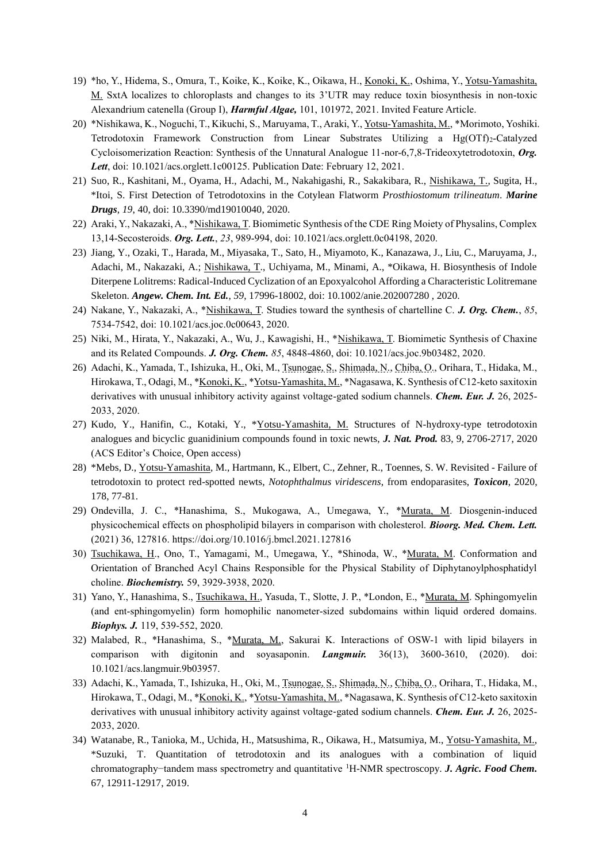- 19) \*ho, Y., Hidema, S., Omura, T., Koike, K., Koike, K., Oikawa, H., Konoki, K., Oshima, Y., Yotsu-Yamashita, M. SxtA localizes to chloroplasts and changes to its 3'UTR may reduce toxin biosynthesis in non-toxic Alexandrium catenella (Group I), *Harmful Algae,* 101, 101972, 2021. Invited Feature Article.
- 20) \*Nishikawa, K., Noguchi, T., Kikuchi, S., Maruyama, T., Araki, Y., Yotsu-Yamashita, M., \*Morimoto, Yoshiki. Tetrodotoxin Framework Construction from Linear Substrates Utilizing a Hg(OTf)<sub>2</sub>-Catalyzed Cycloisomerization Reaction: Synthesis of the Unnatural Analogue 11-nor-6,7,8-Trideoxytetrodotoxin, *Org. Lett*, doi: 10.1021/acs.orglett.1c00125. Publication Date: February 12, 2021.
- 21) Suo, R., Kashitani, M., Oyama, H., Adachi, M., Nakahigashi, R., Sakakibara, R., Nishikawa, T., Sugita, H., \*Itoi, S. First Detection of Tetrodotoxins in the Cotylean Flatworm *Prosthiostomum trilineatum*. *Marine Drugs*, *19*, 40, doi: [10.3390/md19010040,](https://dx.doi.org/10.3390%2Fmd19010040) 2020.
- 22) Araki, Y., Nakazaki, A., \*Nishikawa, T. Biomimetic Synthesis of the CDE Ring Moiety of Physalins, Complex 13,14-Secosteroids. *Org. Lett.*, *23*, 989-994, doi: 10.1021/acs.orglett.0c04198, 2020.
- 23) Jiang, Y., Ozaki, T., Harada, M., Miyasaka, T., Sato, H., Miyamoto, K., Kanazawa, J., Liu, C., Maruyama, J., Adachi, M., Nakazaki, A.; Nishikawa, T., Uchiyama, M., Minami, A., \*Oikawa, H. Biosynthesis of Indole Diterpene Lolitrems: Radical-Induced Cyclization of an Epoxyalcohol Affording a Characteristic Lolitremane Skeleton. *Angew. Chem. Int. Ed.*, *59*, 17996-18002, doi: 10.1002/anie.202007280 , 2020.
- 24) Nakane, Y., Nakazaki, A., \*Nishikawa, T. Studies toward the synthesis of chartelline C. *J. Org. Chem.*, *85*, 7534-7542, doi: 10.1021/acs.joc.0c00643, 2020.
- 25) Niki, M., Hirata, Y., Nakazaki, A., Wu, J., Kawagishi, H., \*Nishikawa, T. Biomimetic Synthesis of Chaxine and its Related Compounds. *J. Org. Chem. 85*, 4848-4860, doi: 10.1021/acs.joc.9b03482, 2020.
- 26) Adachi, K., Yamada, T., Ishizuka, H., Oki, M., Tsunogae, S., Shimada, N., Chiba, O., Orihara, T., Hidaka, M., Hirokawa, T., Odagi, M., \*Konoki, K., \*Yotsu-Yamashita, M., \*Nagasawa, K. Synthesis of C12-keto saxitoxin derivatives with unusual inhibitory activity against voltage‐gated sodium channels. *Chem. Eur. J.* 26, 2025- 2033, 2020.
- 27) Kudo, Y., Hanifin, C., Kotaki, Y., \*Yotsu-Yamashita, M. Structures of N-hydroxy-type tetrodotoxin analogues and bicyclic guanidinium compounds found in toxic newts, *J. Nat. Prod.* 83, 9, 2706-2717, 2020 (ACS Editor's Choice, Open access)
- 28) \*Mebs, D., Yotsu-Yamashita, M., Hartmann, K., Elbert, C., Zehner, R., Toennes, S. W. Revisited Failure of tetrodotoxin to protect red-spotted newts, *Notophthalmus viridescens*, from endoparasites, *Toxicon*, 2020, 178, 77-81.
- 29) Ondevilla, J. C., \*Hanashima, S., Mukogawa, A., Umegawa, Y., \*Murata, M. Diosgenin-induced physicochemical effects on phospholipid bilayers in comparison with cholesterol. *Bioorg. Med. Chem. Lett.* (2021) 36, 127816. https://doi.org/10.1016/j.bmcl.2021.127816
- 30) Tsuchikawa, H., Ono, T., Yamagami, M., Umegawa, Y., \*Shinoda, W., \*Murata, M. Conformation and Orientation of Branched Acyl Chains Responsible for the Physical Stability of Diphytanoylphosphatidyl choline. *Biochemistry.* 59, 3929-3938, 2020.
- 31) Yano, Y., Hanashima, S., Tsuchikawa, H., Yasuda, T., Slotte, J. P., \*London, E., \*Murata, M. Sphingomyelin (and ent-sphingomyelin) form homophilic nanometer-sized subdomains within liquid ordered domains. *Biophys. J.* 119, 539-552, 2020.
- 32) Malabed, R., \*Hanashima, S., \*Murata, M., Sakurai K. Interactions of OSW-1 with lipid bilayers in comparison with digitonin and soyasaponin. *Langmuir.* 36(13), 3600-3610, (2020). doi: 10.1021/acs.langmuir.9b03957.
- 33) Adachi, K., Yamada, T., Ishizuka, H., Oki, M., Tsunogae, S., Shimada, N., Chiba, O., Orihara, T., Hidaka, M., Hirokawa, T., Odagi, M., \*Konoki, K., \*Yotsu-Yamashita, M., \*Nagasawa, K. Synthesis of C12-keto saxitoxin derivatives with unusual inhibitory activity against voltage‐gated sodium channels. *Chem. Eur. J.* 26, 2025- 2033, 2020.
- 34) Watanabe, R., Tanioka, M., Uchida, H., Matsushima, R., Oikawa, H., Matsumiya, M., Yotsu-Yamashita, M., \*Suzuki, T. Quantitation of tetrodotoxin and its analogues with a combination of liquid chromatography−tandem mass spectrometry and quantitative <sup>1</sup>H-NMR spectroscopy. *J. Agric. Food Chem.* 67, 12911-12917, 2019.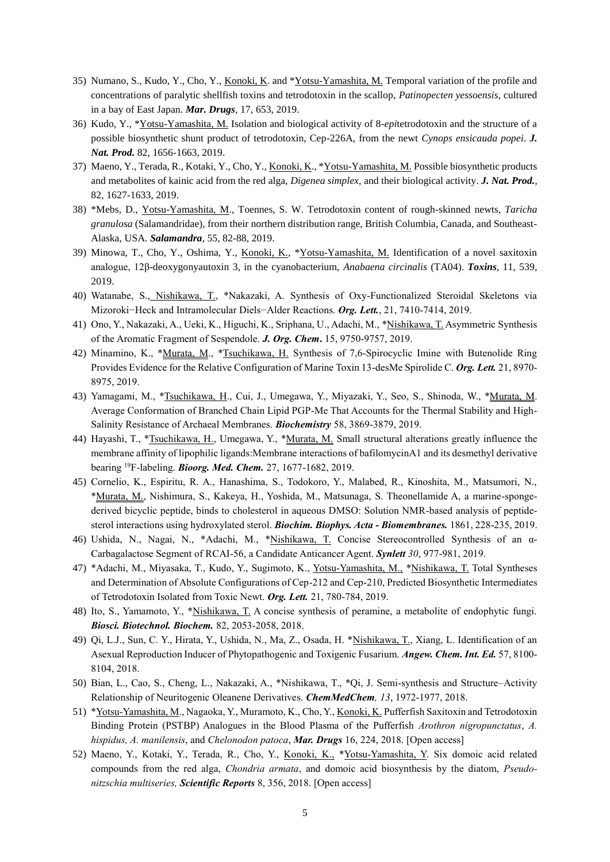- 35) Numano, S., Kudo, Y., Cho, Y., Konoki, K. and \*Yotsu-Yamashita, M. Temporal variation of the profile and concentrations of paralytic shellfish toxins and tetrodotoxin in the scallop, *Patinopecten yessoensis*, cultured in a bay of East Japan. *Mar. Drugs*, 17, 653, 2019.
- 36) Kudo, Y., \*Yotsu-Yamashita, M. Isolation and biological activity of 8-*epi*tetrodotoxin and the structure of a possible biosynthetic shunt product of tetrodotoxin, Cep-226A, from the newt *Cynops ensicauda popei*. *J. Nat. Prod.* 82, 1656-1663, 2019.
- 37) Maeno, Y., Terada, R., Kotaki, Y., Cho, Y., Konoki, K., \*Yotsu-Yamashita, M. Possible biosynthetic products and metabolites of kainic acid from the red alga, *Digenea simplex,* and their biological activity. *J. Nat. Prod.,*  82, 1627-1633, 2019.
- 38) \*Mebs, D., Yotsu-Yamashita, M., Toennes, S. W. Tetrodotoxin content of rough-skinned newts, *Taricha granulosa* (Salamandridae), from their northern distribution range, British Columbia, Canada, and Southeast-Alaska, USA. *Salamandra*, 55, 82-88, 2019.
- 39) Minowa, T., Cho, Y., Oshima, Y., Konoki, K., \*Yotsu-Yamashita, M. Identification of a novel saxitoxin analogue, 12β-deoxygonyautoxin 3, in the cyanobacterium, *Anabaena circinalis* (TA04). *Toxins*, 11, 539, 2019.
- 40) Watanabe, S., Nishikawa, T., \*Nakazaki, A. Synthesis of Oxy-Functionalized Steroidal Skeletons via Mizoroki−Heck and Intramolecular Diels−Alder Reactions. *Org. Lett.*, 21, 7410-7414, 2019.
- 41) Ono, Y., Nakazaki, A., Ueki, K., Higuchi, K., Sriphana, U., Adachi, M., \*Nishikawa, T. Asymmetric Synthesis of the Aromatic Fragment of Sespendole. *J. Org. Chem***.** 15, 9750-9757, 2019.
- 42) Minamino, K., \*Murata, M., \*Tsuchikawa, H. Synthesis of 7,6-Spirocyclic Imine with Butenolide Ring Provides Evidence for the Relative Configuration of Marine Toxin 13-desMe Spirolide C. *Org. Lett.* 21, 8970- 8975, 2019.
- 43) Yamagami, M., \*Tsuchikawa, H., Cui, J., Umegawa, Y., Miyazaki, Y., Seo, S., Shinoda, W., \*Murata, M. Average Conformation of Branched Chain Lipid PGP-Me That Accounts for the Thermal Stability and High-Salinity Resistance of Archaeal Membranes. *Biochemistry* 58, 3869-3879, 2019.
- 44) Hayashi, T., \*Tsuchikawa, H., Umegawa, Y., \*Murata, M. Small structural alterations greatly influence the membrane affinity of lipophilic ligands:Membrane interactions of bafilomycinA1 and its desmethyl derivative bearing <sup>19</sup>F-labeling. *Bioorg. Med. Chem.* 27, 1677-1682, 2019.
- 45) Cornelio, K., Espiritu, R. A., Hanashima, S., Todokoro, Y., Malabed, R., Kinoshita, M., Matsumori, N., \*Murata, M., Nishimura, S., Kakeya, H., Yoshida, M., Matsunaga, S. Theonellamide A, a marine-spongederived bicyclic peptide, binds to cholesterol in aqueous DMSO: Solution NMR-based analysis of peptidesterol interactions using hydroxylated sterol. *Biochim. Biophys. Acta - Biomembranes.* 1861, 228-235, 2019.
- 46) Ushida, N., Nagai, N., \*Adachi, M., \*Nishikawa, T. Concise Stereocontrolled Synthesis of an α-Carbagalactose Segment of RCAI-56, a Candidate Anticancer Agent. *Synlett 30*, 977-981, 2019.
- 47) \*Adachi, M., Miyasaka, T., Kudo, Y., Sugimoto, K., Yotsu-Yamashita, M., \*Nishikawa, T. Total Syntheses and Determination of Absolute Configurations of Cep-212 and Cep-210, Predicted Biosynthetic Intermediates of Tetrodotoxin Isolated from Toxic Newt. *Org. Lett.* 21, 780-784, 2019.
- 48) Ito, S., Yamamoto, Y., \*Nishikawa, T. A concise synthesis of peramine, a metabolite of endophytic fungi. *Biosci. Biotechnol. Biochem.* 82, 2053-2058, 2018.
- 49) Qi, L.J., Sun, C. Y., Hirata, Y., Ushida, N., Ma, Z., Osada, H. \*Nishikawa, T., Xiang, L. Identification of an Asexual Reproduction Inducer of Phytopathogenic and Toxigenic Fusarium. *Angew. Chem. Int. Ed.* 57, 8100- 8104, 2018.
- 50) Bian, L., Cao, S., Cheng, L., Nakazaki, A., \*Nishikawa, T., \*Qi, J. Semi-synthesis and Structure–Activity Relationship of Neuritogenic Oleanene Derivatives. *ChemMedChem, 13*, 1972-1977, 2018.
- 51) \*Yotsu-Yamashita, M., Nagaoka, Y., Muramoto, K., Cho, Y., Konoki, K. Pufferfish Saxitoxin and Tetrodotoxin Binding Protein (PSTBP) Analogues in the Blood Plasma of the Pufferfish *Arothron nigropunctatus*, *A. hispidus, A. manilensis*, and *Chelonodon patoca*, *Mar. Drugs* 16, 224, 2018. [Open access]
- 52) Maeno, Y., Kotaki, Y., Terada, R., Cho, Y., Konoki, K., \*Yotsu-Yamashita, Y. Six domoic acid related compounds from the red alga, *Chondria armata*, and domoic acid biosynthesis by the diatom, *Pseudonitzschia multiseries, Scientific Reports* 8, 356, 2018. [Open access]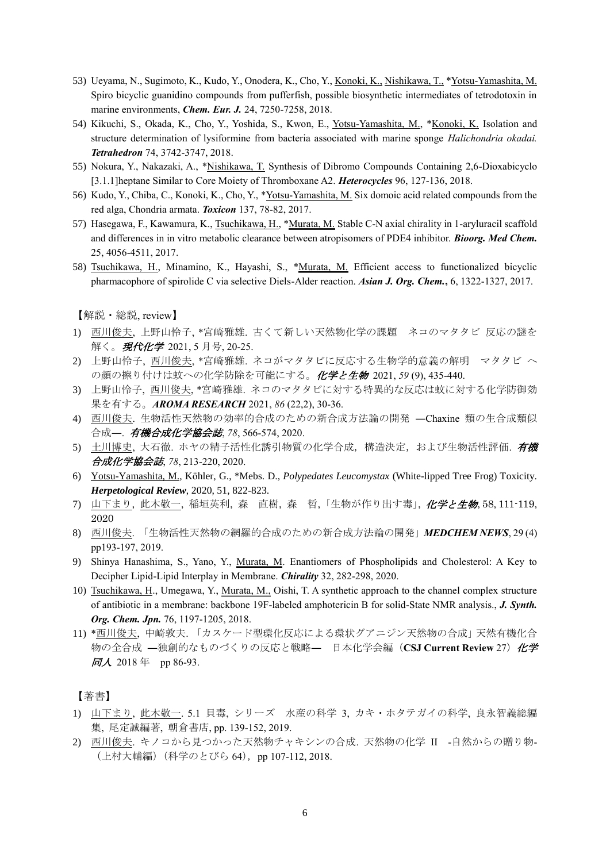- 53) Ueyama, N., Sugimoto, K., Kudo, Y., Onodera, K., Cho, Y., Konoki, K., Nishikawa, T., \*Yotsu-Yamashita, M. Spiro bicyclic guanidino compounds from pufferfish, possible biosynthetic intermediates of tetrodotoxin in marine environments, *Chem. Eur. J.* 24, 7250-7258, 2018.
- 54) Kikuchi, S., Okada, K., Cho, Y., Yoshida, S., Kwon, E., Yotsu-Yamashita, M., \*Konoki, K. Isolation and structure determination of lysiformine from bacteria associated with marine sponge *Halichondria okadai. Tetrahedron* 74, 3742-3747, 2018.
- 55) Nokura, Y., Nakazaki, A., \*Nishikawa, T. Synthesis of Dibromo Compounds Containing 2,6-Dioxabicyclo [3.1.1]heptane Similar to Core Moiety of Thromboxane A2. *Heterocycles* 96, 127-136, 2018.
- 56) Kudo, Y., Chiba, C., Konoki, K., Cho, Y., \*Yotsu-Yamashita, M. Six domoic acid related compounds from the red alga, Chondria armata. *Toxicon* 137, 78-82, 2017.
- 57) Hasegawa, F., Kawamura, K., Tsuchikawa, H., \*Murata, M. Stable C-N axial chirality in 1-aryluracil scaffold and differences in in vitro metabolic clearance between atropisomers of PDE4 inhibitor. *Bioorg. Med Chem.* 25, 4056-4511, 2017.
- 58) Tsuchikawa, H., Minamino, K., Hayashi, S., \*Murata, M. Efficient access to functionalized bicyclic pharmacophore of spirolide C via selective Diels-Alder reaction. *Asian J. Org. Chem.***,** 6, 1322-1327, 2017.

【解説・総説, review】

- 1) 西川俊夫, 上野山怜子, \*宮崎雅雄. 古くて新しい天然物化学の課題 ネコのマタタビ 反応の謎を 解く。現代化学 2021, 5 月号, 20-25.
- 2) 上野山怜子, 西川俊夫, \*宮崎雅雄. ネコがマタタビに反応する生物学的意義の解明 マタタビ へ の顔の擦り付けは蚊への化学防除を可能にする。化学と生物 2021, *59* (9), 435-440.
- 3) 上野山怜子, 西川俊夫, \*宮崎雅雄. ネコのマタタビに対する特異的な反応は蚊に対する化学防御効 果を有する。*AROMA RESEARCH* 2021, *86* (22,2), 30-36.
- 4) 西川俊夫. 生物活性天然物の効率的合成のための新合成方法論の開発 ―Chaxine 類の生合成類似 合成―. 有機合成化学協会誌, *78*, 566-574, 2020.
- 5) 土川博史, 大石徹. ホヤの精子活性化誘引物質の化学合成,構造決定,および生物活性評価. 有機 合成化学協会誌, *78*, 213-220, 2020.
- 6) Yotsu-Yamashita, M., Köhler, G., \*Mebs. D., *Polypedates Leucomystax* (White-lipped Tree Frog) Toxicity. *Herpetological Review*, 2020, 51, 822-823.
- 7) 山下まり, 此木敬一, 稲垣英利, 森 直樹, 森 哲, 「生物が作り出す毒」, 化学と生物, 58, 111-119, 2020
- 8) 西川俊夫. 「生物活性天然物の網羅的合成のための新合成方法論の開発」*MEDCHEM NEWS*, 29 (4) pp193-197, 2019.
- 9) Shinya Hanashima, S., Yano, Y., Murata, M. Enantiomers of Phospholipids and Cholesterol: A Key to Decipher Lipid-Lipid Interplay in Membrane. *Chirality* 32, 282-298, 2020.
- 10) Tsuchikawa, H., Umegawa, Y., Murata, M., Oishi, T. A synthetic approach to the channel complex structure of antibiotic in a membrane: backbone 19F-labeled amphotericin B for solid-State NMR analysis., *J. Synth. Org. Chem. Jpn.* 76, 1197-1205, 2018.
- 11) \*西川俊夫, 中崎敦夫. 「カスケード型環化反応による環状グアニジン天然物の合成」天然有機化合 物の全合成 –独創的なものづくりの反応と戦略– 日本化学会編 (CSJ Current Review 27) 化学 同人 2018 年 pp 86-93.

【著書】

- 1) 山下まり, 此木敬一. 5.1 貝毒, シリーズ 水産の科学 3, カキ・ホタテガイの科学, 良永智義総編 集, 尾定誠編著, 朝倉書店, pp. 139-152, 2019.
- 2) 西川俊夫. キノコから見つかった天然物チャキシンの合成. 天然物の化学 II -自然からの贈り物- (上村大輔編) (科学のとびら 64), pp 107-112, 2018.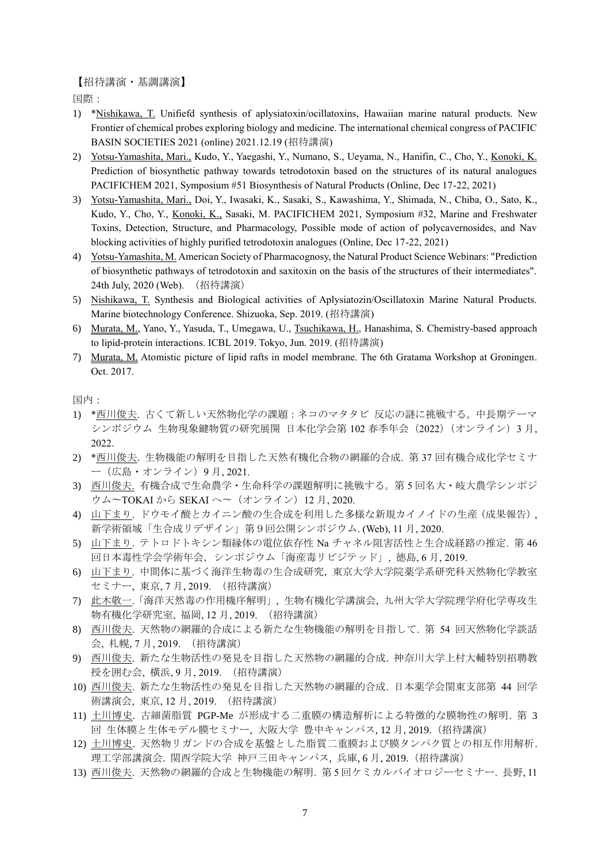【招待講演・基調講演】

国際:

- 1) \*Nishikawa, T. Unifiefd synthesis of aplysiatoxin/ocillatoxins, Hawaiian marine natural products. New Frontier of chemical probes exploring biology and medicine. The international chemical congress of PACIFIC BASIN SOCIETIES 2021 (online) 2021.12.19 (招待講演)
- 2) Yotsu-Yamashita, Mari., Kudo, Y., Yaegashi, Y., Numano, S., Ueyama, N., Hanifin, C., Cho, Y., Konoki, K. Prediction of biosynthetic pathway towards tetrodotoxin based on the structures of its natural analogues PACIFICHEM 2021, Symposium #51 Biosynthesis of Natural Products (Online, Dec 17-22, 2021)
- 3) Yotsu-Yamashita, Mari., Doi, Y., Iwasaki, K., Sasaki, S., Kawashima, Y., Shimada, N., Chiba, O., Sato, K., Kudo, Y., Cho, Y., Konoki, K., Sasaki, M. PACIFICHEM 2021, Symposium #32, Marine and Freshwater Toxins, Detection, Structure, and Pharmacology, Possible mode of action of polycavernosides, and Nav blocking activities of highly purified tetrodotoxin analogues (Online, Dec 17-22, 2021)
- 4) Yotsu-Yamashita, M. American Society of Pharmacognosy, the Natural Product Science Webinars: "Prediction of biosynthetic pathways of tetrodotoxin and saxitoxin on the basis of the structures of their intermediates". 24th July, 2020 (Web). (招待講演)
- 5) Nishikawa, T. Synthesis and Biological activities of Aplysiatozin/Oscillatoxin Marine Natural Products. Marine biotechnology Conference. Shizuoka, Sep. 2019. (招待講演)
- 6) Murata, M., Yano, Y., Yasuda, T., Umegawa, U., Tsuchikawa, H., Hanashima, S. Chemistry-based approach to lipid-protein interactions. ICBL 2019. Tokyo, Jun. 2019. (招待講演)
- 7) Murata, M. Atomistic picture of lipid rafts in model membrane. The 6th Gratama Workshop at Groningen. Oct. 2017.

国内:

- 1) \*西川俊夫. 古くて新しい天然物化学の課題:ネコのマタタビ 反応の謎に挑戦する。中長期テーマ シンポジウム 生物現象鍵物質の研究展開 日本化学会第 102 春季年会(2022)(オンライン)3 月, 2022.
- 2) \*西川俊夫. 生物機能の解明を目指した天然有機化合物の網羅的合成. 第 37 回有機合成化学セミナ ー(広島・オンライン)9 月, 2021.
- 3) 西川俊夫. 有機合成で生命農学・生命科学の課題解明に挑戦する。第 5 回名大・岐大農学シンポジ ウム~TOKAI から SEKAI へ~ (オンライン) 12月, 2020.
- 4) 山下まり. ドウモイ酸とカイニン酸の生合成を利用した多様な新規カイノイドの生産(成果報告), 新学術領域「生合成リデザイン」第9回公開シンポジウム. (Web), 11 月, 2020.
- 5) 山下まり. テトロドトキシン類縁体の電位依存性 Na チャネル阻害活性と生合成経路の推定. 第 46 回日本毒性学会学術年会,シンポジウム「海産毒リビジテッド」,徳島, 6月, 2019.
- 6) 山下まり. 中間体に基づく海洋生物毒の生合成研究,東京大学大学院薬学系研究科天然物化学教室 セミナー, 東京, 7 月, 2019. (招待講演)
- 7) 此木敬一.「海洋天然毒の作用機序解明」, 生物有機化学講演会, 九州大学大学院理学府化学専攻生 物有機化学研究室, 福岡, 12 月, 2019. (招待講演)
- 8) 西川俊夫. 天然物の網羅的合成による新たな生物機能の解明を目指して. 第 54 回天然物化学談話 会, 札幌, 7 月, 2019. (招待講演)
- 9) 西川俊夫. 新たな生物活性の発見を目指した天然物の網羅的合成. 神奈川大学上村大輔特別招聘教 授を囲む会, 横浜, 9 月, 2019. (招待講演)
- 10) 西川俊夫. 新たな生物活性の発見を目指した天然物の網羅的合成. 日本薬学会関東支部第 44 回学 術講演会, 東京, 12 月, 2019. (招待講演)
- 11) 土川博史. 古細菌脂質 PGP-Me が形成する二重膜の構造解析による特徴的な膜物性の解明. 第 3 回 生体膜と生体モデル膜セミナー, 大阪大学 豊中キャンパス, 12 月, 2019.(招待講演)
- 12) 土川博史. 天然物リガンドの合成を基盤とした脂質二重膜および膜タンパク質との相互作用解析. 理工学部講演会. 関西学院大学 神戸三田キャンパス, 兵庫, 6 月, 2019.(招待講演)
- 13) 西川俊夫. 天然物の網羅的合成と生物機能の解明. 第5回ケミカルバイオロジーセミナー. 長野, 11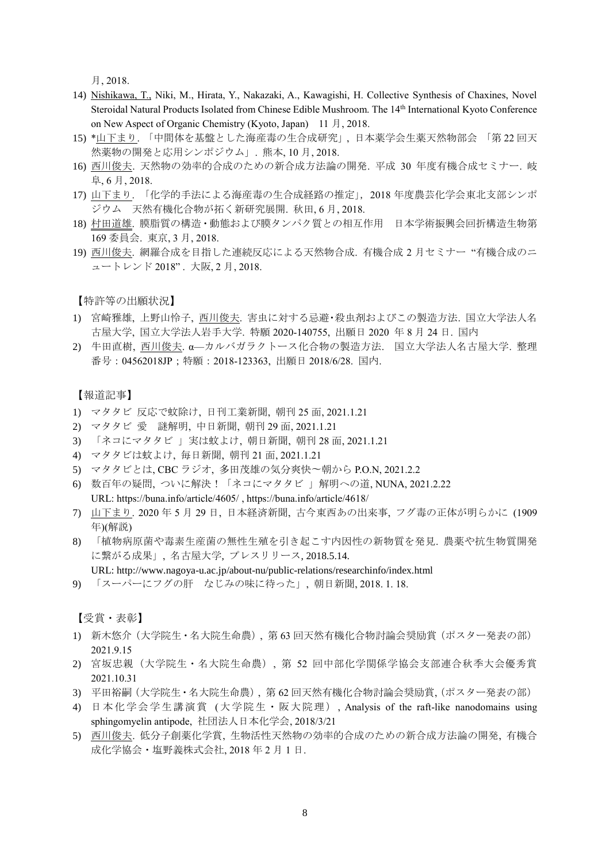月, 2018.

- 14) Nishikawa, T., Niki, M., Hirata, Y., Nakazaki, A., Kawagishi, H. Collective Synthesis of Chaxines, Novel Steroidal Natural Products Isolated from Chinese Edible Mushroom. The 14th International Kyoto Conference on New Aspect of Organic Chemistry (Kyoto, Japan) 11 月, 2018.
- 15) \*山下まり. 「中間体を基盤とした海産毒の生合成研究」, 日本薬学会生薬天然物部会 「第 22 回天 然薬物の開発と応用シンポジウム」. 熊本, 10 月, 2018.
- 16) 西川俊夫. 天然物の効率的合成のための新合成方法論の開発. 平成 30 年度有機合成セミナー. 岐 阜, 6 月, 2018.
- 17) 山下まり. 「化学的手法による海産毒の生合成経路の推定」,2018 年度農芸化学会東北支部シンポ ジウム 天然有機化合物が拓く新研究展開. 秋田, 6 月, 2018.
- 18) 村田道雄. 膜脂質の構造・動態および膜タンパク質との相互作用 日本学術振興会回折構造生物第 169 委員会. 東京, 3 月, 2018.
- 19) 西川俊夫. 網羅合成を目指した連続反応による天然物合成. 有機合成 2 月セミナー "有機合成のニ ュートレンド 2018". 大阪, 2月, 2018.

【特許等の出願状況】

- 1) 宮崎雅雄, 上野山怜子, 西川俊夫. 害虫に対する忌避・殺虫剤およびこの製造方法. 国立大学法人名 古屋大学, 国立大学法人岩手大学. 特願 2020-140755, 出願日 2020 年 8 月 24 日. 国内
- 2) 牛田直樹, 西川俊夫. α—カルバガラクトース化合物の製造方法. 国立大学法人名古屋大学. 整理 番号:04562018JP;特願:2018-123363, 出願日 2018/6/28. 国内.

【報道記事】

- 1) マタタビ 反応で蚊除け, 日刊工業新聞, 朝刊 25 面, 2021.1.21
- 2) マタタビ 愛 謎解明, 中日新聞, 朝刊 29 面, 2021.1.21
- 3) 「ネコにマタタビ 」実は蚊よけ, 朝日新聞, 朝刊 28 面, 2021.1.21
- 4) マタタビは蚊よけ, 毎日新聞, 朝刊 21 面, 2021.1.21
- 5) マタタビとは, CBC ラジオ, 多田茂雄の気分爽快〜朝から P.O.N, 2021.2.2
- 6) 数百年の疑問, ついに解決!「ネコにマタタビ 」解明への道, NUNA, 2021.2.22 URL: https://buna.info/article/4605/ , https://buna.info/article/4618/
- 7) 山下まり. 2020 年 5 月 29 日, 日本経済新聞, 古今東西あの出来事, フグ毒の正体が明らかに (1909 年)(解説)
- 8) 「植物病原菌や毒素生産菌の無性生殖を引き起こす内因性の新物質を発見. 農薬や抗生物質開発 に繋がる成果」, 名古屋大学, プレスリリース, 2018.5.14.
- URL: http://www.nagoya-u.ac.jp/about-nu/public-relations/researchinfo/index.html
- 9) 「スーパーにフグの肝 なじみの味に待った」, 朝日新聞, 2018. 1. 18.

【受賞・表彰】

- 1) 新木悠介(大学院生・名大院生命農), 第 63 回天然有機化合物討論会奨励賞(ポスター発表の部) 2021.9.15
- 2) 宮坂忠親(大学院生・名大院生命農), 第 52 回中部化学関係学協会支部連合秋季大会優秀賞 2021.10.31
- 3) 平田裕嗣(大学院生・名大院生命農), 第 62 回天然有機化合物討論会奨励賞,(ポスター発表の部)
- 4) 日本化学会学生講演賞 (大学院生・阪大院理), Analysis of the raft-like nanodomains using sphingomyelin antipode, 社団法人日本化学会, 2018/3/21
- 5) 西川俊夫. 低分子創薬化学賞, 生物活性天然物の効率的合成のための新合成方法論の開発, 有機合 成化学協会・塩野義株式会社, 2018 年 2 月 1 日.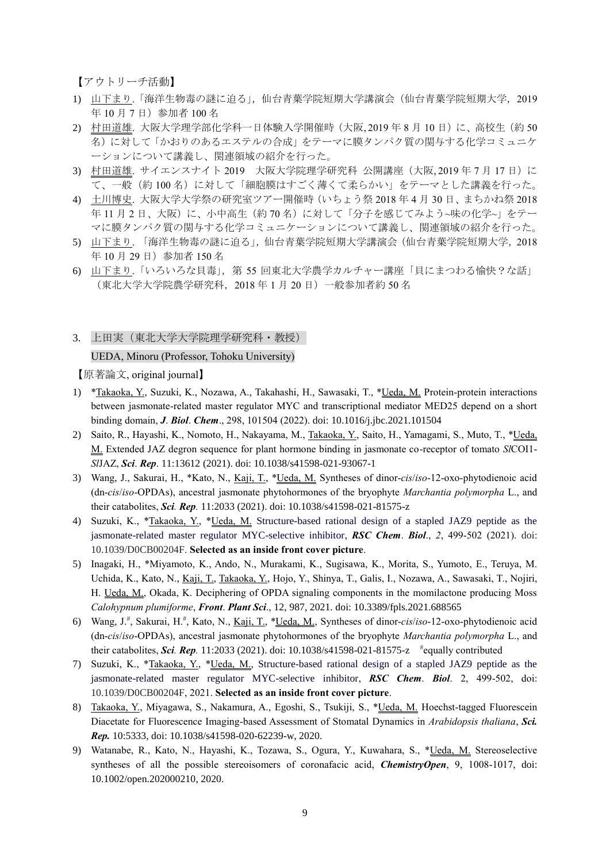【アウトリーチ活動】

- 1) 山下まり.「海洋生物毒の謎に迫る」,仙台青葉学院短期大学講演会(仙台青葉学院短期大学,2019 年 10 月 7 日)参加者 100 名
- 2) 村田道雄. 大阪大学理学部化学科一日体験入学開催時 (大阪, 2019年8月10日)に、高校生(約50 名)に対して「かおりのあるエステルの合成」をテーマに膜タンパク質の関与する化学コミュニケ ーションについて講義し、関連領域の紹介を行った。
- 3) 村田道雄. サイエンスナイト 2019 大阪大学院理学研究科 公開講座 (大阪, 2019年7月17日)に て、一般(約 100 名)に対して「細胞膜はすごく薄くて柔らかい」をテーマとした講義を行った。
- 4) 土川博史. 大阪大学大学祭の研究室ツアー開催時(いちょう祭 2018 年 4 月 30 日、まちかね祭 2018 年11月2日、大阪)に、小中高生(約70名)に対して「分子を感じてみよう~味の化学~」をテー マに膜タンパク質の関与する化学コミュニケーションについて講義し、関連領域の紹介を行った。
- 5) 山下まり. 「海洋生物毒の謎に迫る」,仙台青葉学院短期大学講演会(仙台青葉学院短期大学,2018 年 10 月 29 日)参加者 150 名
- 6) 山下まり.「いろいろな貝毒」, 第 55 回東北大学農学カルチャー講座「貝にまつわる愉快?な話」 (東北大学大学院農学研究科,2018 年 1 月 20 日)一般参加者約 50 名

3. 上田実(東北大学大学院理学研究科・教授)

#### UEDA, Minoru (Professor, Tohoku University)

【原著論文, original journal】

- 1) \*Takaoka, Y., Suzuki, K., Nozawa, A., Takahashi, H., Sawasaki, T., \*Ueda, M. Protein-protein interactions between jasmonate-related master regulator MYC and transcriptional mediator MED25 depend on a short binding domain, *J*. *Biol*. *Chem*., 298, 101504 (2022). [doi: 10.1016/j.jbc.2021.101504](https://doi.org/10.1016/j.jbc.2021.101504)
- 2) Saito, R., Hayashi, K., Nomoto, H., Nakayama, M., Takaoka, Y., Saito, H., Yamagami, S., Muto, T., \*Ueda, M. Extended JAZ degron sequence for plant hormone binding in jasmonate co-receptor of tomato *Sl*COI1- *Sl*JAZ, *Sci*. *Rep*. 11:13612 (2021). doi: 10.1038/s41598-021-93067-1
- 3) Wang, J., Sakurai, H., \*Kato, N., Kaji, T., \*Ueda, M. Syntheses of dinor-*cis*/*iso*-12-oxo-phytodienoic acid (dn-*cis*/*iso*-OPDAs), ancestral jasmonate phytohormones of the bryophyte *Marchantia polymorpha* L., and their catabolites, *Sci. Rep.* 11:2033 (2021). doi: 10.1038/s41598-021-81575-z
- 4) Suzuki, K., \*Takaoka, Y., \*Ueda, M. Structure-based rational design of a stapled JAZ9 peptide as the jasmonate-related master regulator MYC-selective inhibitor, *RSC Chem*. *Biol*., *2*, 499-502 (2021). doi: 10.1039/D0CB00204F. **Selected as an inside front cover picture**.
- 5) Inagaki, H., \*Miyamoto, K., Ando, N., Murakami, K., Sugisawa, K., Morita, S., Yumoto, E., Teruya, M. Uchida, K., Kato, N., Kaji, T., Takaoka, Y., Hojo, Y., Shinya, T., Galis, I., Nozawa, A., Sawasaki, T., Nojiri, H. Ueda, M., Okada, K. Deciphering of OPDA signaling components in the momilactone producing Moss *Calohypnum plumiforme*, *Front*. *Plant Sci*., 12, 987, 2021. doi: 10.3389/fpls.2021.688565
- 6) Wang, J.# , Sakurai, H.# , Kato, N., Kaji, T., \*Ueda, M., Syntheses of dinor-*cis*/*iso*-12-oxo-phytodienoic acid (dn-*cis*/*iso*-OPDAs), ancestral jasmonate phytohormones of the bryophyte *Marchantia polymorpha* L., and their catabolites, *Sci. Rep.* 11:2033 (2021). doi: 10.1038/s41598-021-81575-z # equally contributed
- 7) Suzuki, K., \*Takaoka, Y., \*Ueda, M., Structure-based rational design of a stapled JAZ9 peptide as the jasmonate-related master regulator MYC-selective inhibitor, *RSC Chem*. *Biol*. 2, 499-502, doi: 10.1039/D0CB00204F, 2021. **Selected as an inside front cover picture**.
- 8) Takaoka, Y., Miyagawa, S., Nakamura, A., Egoshi, S., Tsukiji, S., \*Ueda, M. Hoechst-tagged Fluorescein Diacetate for Fluorescence Imaging-based Assessment of Stomatal Dynamics in *Arabidopsis thaliana*, *Sci. Rep.* 10:5333, doi: 10.1038/s41598-020-62239-w, 2020.
- 9) Watanabe, R., Kato, N., Hayashi, K., Tozawa, S., Ogura, Y., Kuwahara, S., \*Ueda, M. Stereoselective syntheses of all the possible stereoisomers of coronafacic acid, *ChemistryOpen*, 9, 1008-1017, [doi:](https://doi.org/10.1002/open.202000210)  [10.1002/open.202000210,](https://doi.org/10.1002/open.202000210) 2020.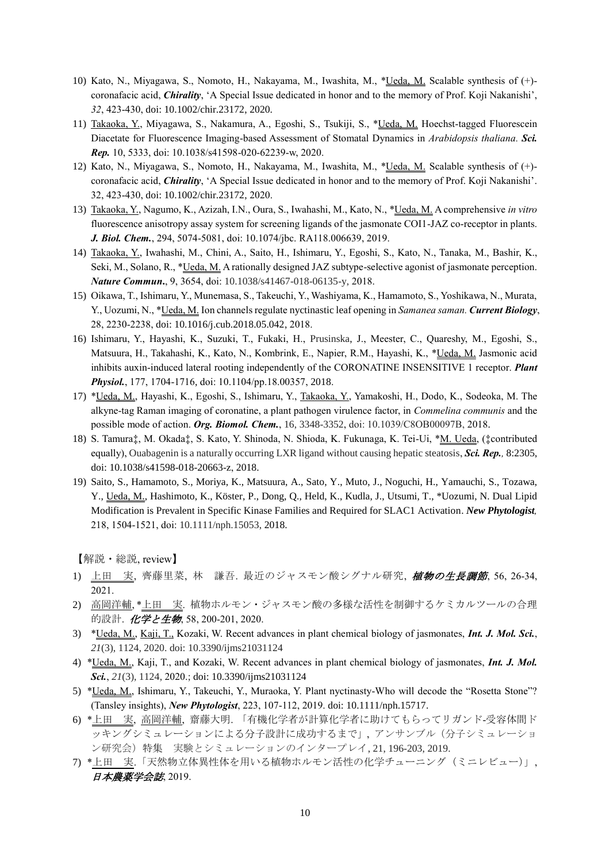- 10) Kato, N., Miyagawa, S., Nomoto, H., Nakayama, M., Iwashita, M., \*Ueda, M. Scalable synthesis of (+) coronafacic acid, *Chirality*, 'A Special Issue dedicated in honor and to the memory of Prof. Koji Nakanishi', *32*, 423-430, [doi: 10.1002/chir.23172,](https://doi.org/10.1002/chir.23172) 2020.
- 11) Takaoka, Y., Miyagawa, S., Nakamura, A., Egoshi, S., Tsukiji, S., \*Ueda, M. Hoechst-tagged Fluorescein Diacetate for Fluorescence Imaging-based Assessment of Stomatal Dynamics in *Arabidopsis thaliana. Sci. Rep.* 10, 5333, doi: 10.1038/s41598-020-62239-w, 2020.
- 12) Kato, N., Miyagawa, S., Nomoto, H., Nakayama, M., Iwashita, M., \*Ueda, M. Scalable synthesis of (+) coronafacic acid, *Chirality*, 'A Special Issue dedicated in honor and to the memory of Prof. Koji Nakanishi'. 32, 423-430, [doi: 10.1002/chir.23172,](https://doi.org/10.1002/chir.23172) 2020.
- 13) Takaoka, Y., Nagumo, K., Azizah, I.N., Oura, S., Iwahashi, M., Kato, N., \*Ueda, M. A comprehensive *in vitro* fluorescence anisotropy assay system for screening ligands of the jasmonate COI1-JAZ co-receptor in plants. *J. Biol. Chem.*, 294, 5074-5081, doi: 10.1074/jbc. RA118.006639, 2019.
- 14) Takaoka, Y., Iwahashi, M., Chini, A., Saito, H., Ishimaru, Y., Egoshi, S., Kato, N., Tanaka, M., Bashir, K., Seki, M., Solano, R., \*Ueda, M. A rationally designed JAZ subtype-selective agonist of jasmonate perception. *Nature Commun***.**, 9, 3654, doi: 10.1038/s41467-018-06135-y, 2018.
- 15) Oikawa, T., Ishimaru, Y., Munemasa, S., Takeuchi, Y., Washiyama, K., Hamamoto, S., Yoshikawa, N., Murata, Y., Uozumi, N., \*Ueda, M. Ion channels regulate nyctinastic leaf opening in *Samanea saman. Current Biology*, 28, 2230-2238, doi: [10.1016/j.cub.2018.05.042,](https://doi.org/10.1016/j.cub.2018.05.042) 2018.
- 16) Ishimaru, Y., Hayashi, K., Suzuki, T., Fukaki, H., Prusinska, J., Meester, C., Quareshy, M., Egoshi, S., Matsuura, H., Takahashi, K., Kato, N., Kombrink, E., Napier, R.M., Hayashi, K., \*Ueda, M. Jasmonic acid inhibits auxin-induced lateral rooting independently of the CORONATINE INSENSITIVE 1 receptor. *Plant Physiol.*, 177, 1704-1716, doi: 10.1104/pp.18.00357, 2018.
- 17) \*Ueda, M., Hayashi, K., Egoshi, S., Ishimaru, Y., Takaoka, Y., Yamakoshi, H., Dodo, K., Sodeoka, M. The alkyne-tag Raman imaging of coronatine, a plant pathogen virulence factor, in *Commelina communis* and the possible mode of action. *Org. Biomol. Chem.*, 16, 3348-3352, doi: 10.1039/C8OB00097B, 2018.
- 18) S. Tamura‡, M. Okada‡, S. Kato, Y. Shinoda, N. Shioda, K. Fukunaga, K. Tei-Ui, \*M. Ueda, (‡contributed equally), Ouabagenin is a naturally occurring LXR ligand without causing hepatic steatosis, *Sci. Rep.,* 8:2305, doi: 10.1038/s41598-018-20663-z, 2018.
- 19) Saito, S., Hamamoto, S., Moriya, K., Matsuura, A., Sato, Y., Muto, J., Noguchi, H., Yamauchi, S., Tozawa, Y., Ueda, M., Hashimoto, K., Köster, P., Dong, Q., Held, K., Kudla, J., Utsumi, T., \*Uozumi, N. Dual Lipid Modification is Prevalent in Specific Kinase Families and Required for SLAC1 Activation. *New Phytologist,* 218, 1504-1521, doi: 10.1111/nph.15053, 2018.

【解説・総説, review】

- 1) 上田 実, 齊藤里菜, 林 謙吾. 最近のジャスモン酸シグナル研究, 植物の生長調節, 56, 26-34, 2021.
- 2) 高岡洋輔, \*上田 実. 植物ホルモン・ジャスモン酸の多様な活性を制御するケミカルツールの合理 的設計. 化学と生物, 58, 200-201, 2020.
- 3) \*Ueda, M., Kaji, T., Kozaki, W. Recent advances in plant chemical biology of jasmonates, *Int. J. Mol. Sci.*, *21*(3), 1124, 2020. doi: 10.3390/ijms21031124
- 4) \*Ueda, M., Kaji, T., and Kozaki, W. Recent advances in plant chemical biology of jasmonates, *Int. J. Mol. Sci.*, *21*(3), 1124, 2020.; doi: 10.3390/ijms21031124
- 5) \*Ueda, M., Ishimaru, Y., Takeuchi, Y., Muraoka, Y. Plant nyctinasty-Who will decode the "Rosetta Stone"? (Tansley insights), *New Phytologist*, 223, 107-112, 2019. [doi: 10.1111/nph.15717.](http://doi.org/10.1111/nph.15717)
- 6) \*上田 実, 高岡洋輔, 齋藤大明. 「有機化学者が計算化学者に助けてもらってリガンド-受容体間ド ッキングシミュレーションによる分子設計に成功するまで」, アンサンブル(分子シミュレーショ ン研究会)特集 実験とシミュレーションのインタープレイ, 21, 196-203, 2019.
- 7) \*上田 実.「天然物立体異性体を用いる植物ホルモン活性の化学チューニング(ミニレビュー)」, 日本農薬学会誌, 2019.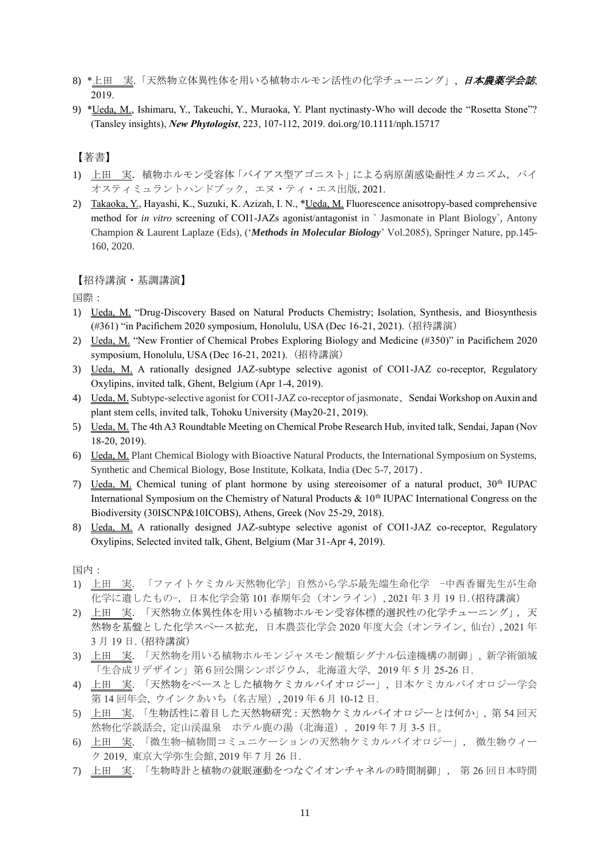- 8) \*上田 実.「天然物立体異性体を用いる植物ホルモン活性の化学チューニング」, 日本農薬学会誌, 2019.
- 9) \*Ueda, M., Ishimaru, Y., Takeuchi, Y., Muraoka, Y. Plant nyctinasty-Who will decode the "Rosetta Stone"? (Tansley insights), *New Phytologist*, 223, 107-112, 2019. [doi.org/10.1111/nph.15717](http://doi.org/10.1111/nph.15717)

## 【著書】

- 1) 上田 実. 植物ホルモン受容体「バイアス型アゴニスト」による病原菌感染耐性メカニズム, バイ オスティミュラントハンドブック, エヌ・ティ・エス出版,2021.
- 2) Takaoka, Y., Hayashi, K., Suzuki, K. Azizah, I. N., \*Ueda, M. Fluorescence anisotropy-based comprehensive method for *in vitro* screening of COI1-JAZs agonist/antagonist in ` Jasmonate in Plant Biology`, Antony Champion & Laurent Laplaze (Eds), ('*Methods in Molecular Biology*' Vol.2085), Springer Nature, pp.145- 160, 2020.

#### 【招待講演・基調講演】

国際:

- 1) Ueda, M. "Drug-Discovery Based on Natural Products Chemistry; Isolation, Synthesis, and Biosynthesis (#361) "in Pacifichem 2020 symposium, Honolulu, USA (Dec 16-21, 2021). (招待講演)
- 2) Ueda, M. "New Frontier of Chemical Probes Exploring Biology and Medicine (#350)" in Pacifichem 2020 symposium, Honolulu, USA (Dec 16-21, 2021). (招待講演)
- 3) Ueda, M. A rationally designed JAZ-subtype selective agonist of COI1-JAZ co-receptor, Regulatory Oxylipins, invited talk, Ghent, Belgium (Apr 1-4, 2019).
- 4) Ueda, M. Subtype-selective agonist for COI1-JAZ co-receptor of jasmonate, Sendai Workshop on Auxin and plant stem cells, invited talk, Tohoku University (May20-21, 2019).
- 5) Ueda, M. The 4th A3 Roundtable Meeting on Chemical Probe Research Hub, invited talk, Sendai, Japan (Nov 18-20, 2019).
- 6) Ueda, M. Plant Chemical Biology with Bioactive Natural Products, the International Symposium on Systems, Synthetic and Chemical Biology, Bose Institute, Kolkata, India (Dec 5-7, 2017) .
- 7) Ueda, M. Chemical tuning of plant hormone by using stereoisomer of a natural product,  $30<sup>th</sup> IUPAC$ International Symposium on the Chemistry of Natural Products  $\& 10<sup>th</sup> IUPAC$  International Congress on the Biodiversity (30ISCNP&10ICOBS), Athens, Greek (Nov 25-29, 2018).
- 8) Ueda, M. A rationally designed JAZ-subtype selective agonist of COI1-JAZ co-receptor, Regulatory Oxylipins, Selected invited talk, Ghent, Belgium (Mar 31-Apr 4, 2019).

国内:

- 1) 上田 実. 「ファイトケミカル天然物化学」自然から学ぶ最先端生命化学 -中西香爾先生が生命 化学に遺したもの-, 日本化学会第 101 春期年会(オンライン), 2021 年 3 月 19 日.(招待講演)
- 2) 上田 実. 「天然物立体異性体を用いる植物ホルモン受容体標的選択性の化学チューニング」, 天 然物を基盤とした化学スペース拡充, 日本農芸化学会 2020 年度大会(オンライン, 仙台), 2021 年 3 月 19 日. (招待講演)
- 3) 上田 実. 「天然物を用いる植物ホルモンジャスモン酸類シグナル伝達機構の制御」, 新学術領域 「生合成リデザイン」第6回公開シンポジウム, 北海道大学, 2019 年 5 月 25-26 日.
- 4) 上田 実. 「天然物をベースとした植物ケミカルバイオロジー」, 日本ケミカルバイオロジー学会 第 14 回年会, ウインクあいち(名古屋), 2019 年 6 月 10-12 日.
- 5) 上田 実. 「生物活性に着目した天然物研究:天然物ケミカルバイオロジーとは何か」, 第 54 回天 然物化学談話会, 定山渓温泉 ホテル鹿の湯(北海道), 2019 年 7 月 3-5 日。
- 6) 上田 実. 「微生物ー植物間コミュニケーションの天然物ケミカルバイオロジー」, 微生物ウィー ク 2019, 東京大学弥生会館, 2019 年 7 月 26 日.
- 7) 上田 実. 「生物時計と植物の就眠運動をつなぐイオンチャネルの時間制御」, 第 26 回日本時間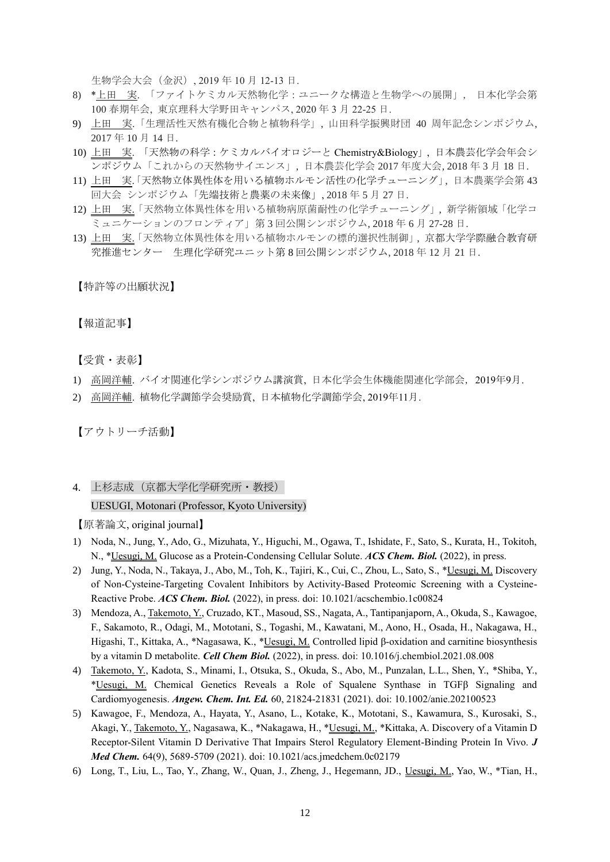生物学会大会(金沢), 2019 年 10 月 12-13 日.

- 8) \*上田 実. 「ファイトケミカル天然物化学:ユニークな構造と生物学への展開」, 日本化学会第 100 春期年会, 東京理科大学野田キャンパス, 2020 年 3 月 22-25 日.
- 9) 上田 実.「生理活性天然有機化合物と植物科学」, 山田科学振興財団 40 周年記念シンポジウム, 2017 年 10 月 14 日.
- 10) 上田 実. 「天然物の科学:ケミカルバイオロジーと Chemistry&Biology」, 日本農芸化学会年会シ ンポジウム「これからの天然物サイエンス」, 日本農芸化学会 2017 年度大会, 2018 年 3 月 18 日.
- 11) 上田 実「天然物立体異性体を用いる植物ホルモン活性の化学チューニング」, 日本農薬学会第43 回大会 シンポジウム「先端技術と農薬の未来像」, 2018 年 5 月 27 日.
- 12) 上田 実.「天然物立体異性体を用いる植物病原菌耐性の化学チューニング」, 新学術領域「化学コ ミュニケーションのフロンティア」第 3 回公開シンポジウム, 2018 年 6 月 27-28 日.
- 13) 上田 実.「天然物立体異性体を用いる植物ホルモンの標的選択性制御」, 京都大学学際融合教育研 究推進センター 生理化学研究ユニット第 8 回公開シンポジウム, 2018 年 12 月 21 日.

【特許等の出願状況】

【報道記事】

【受賞・表彰】

- 1) 高岡洋輔. バイオ関連化学シンポジウム講演賞, 日本化学会生体機能関連化学部会, 2019年9月.
- 2) 高岡洋輔. 植物化学調節学会奨励賞, 日本植物化学調節学会, 2019年11月.

【アウトリーチ活動】

4. 上杉志成(京都大学化学研究所・教授)

#### UESUGI, Motonari (Professor, Kyoto University)

【原著論文, original journal】

- 1) Noda, N., Jung, Y., Ado, G., Mizuhata, Y., Higuchi, M., Ogawa, T., Ishidate, F., Sato, S., Kurata, H., Tokitoh, N., \*Uesugi, M. Glucose as a Protein-Condensing Cellular Solute. *ACS Chem. Biol.* (2022), in press.
- 2) Jung, Y., Noda, N., Takaya, J., Abo, M., Toh, K., Tajiri, K., Cui, C., Zhou, L., Sato, S., \*Uesugi, M. Discovery of Non-Cysteine-Targeting Covalent Inhibitors by Activity-Based Proteomic Screening with a Cysteine-Reactive Probe. *ACS Chem. Biol.* (2022), in press. doi: 10.1021/acschembio.1c00824
- 3) Mendoza, A., Takemoto, Y., Cruzado, KT., Masoud, SS., Nagata, A., Tantipanjaporn, A., Okuda, S., Kawagoe, F., Sakamoto, R., Odagi, M., Mototani, S., Togashi, M., Kawatani, M., Aono, H., Osada, H., Nakagawa, H., Higashi, T., Kittaka, A., \*Nagasawa, K., \*Uesugi, M. Controlled lipid β-oxidation and carnitine biosynthesis by a vitamin D metabolite. *Cell Chem Biol.* (2022), in press. doi: 10.1016/j.chembiol.2021.08.008
- 4) Takemoto, Y., Kadota, S., Minami, I., Otsuka, S., Okuda, S., Abo, M., Punzalan, L.L., Shen, Y., \*Shiba, Y., \*Uesugi, M. Chemical Genetics Reveals a Role of Squalene Synthase in TGFβ Signaling and Cardiomyogenesis. *Angew. Chem. Int. Ed.* 60, 21824-21831 (2021). doi: 10.1002/anie.202100523
- 5) Kawagoe, F., Mendoza, A., Hayata, Y., Asano, L., Kotake, K., Mototani, S., Kawamura, S., Kurosaki, S., Akagi, Y., Takemoto, Y., Nagasawa, K., \*Nakagawa, H., \*Uesugi, M., \*Kittaka, A. Discovery of a Vitamin D Receptor-Silent Vitamin D Derivative That Impairs Sterol Regulatory Element-Binding Protein In Vivo. *J Med Chem.* 64(9), 5689-5709 (2021). doi: 10.1021/acs.jmedchem.0c02179
- 6) Long, T., Liu, L., Tao, Y., Zhang, W., Quan, J., Zheng, J., Hegemann, JD., Uesugi, M., Yao, W., \*Tian, H.,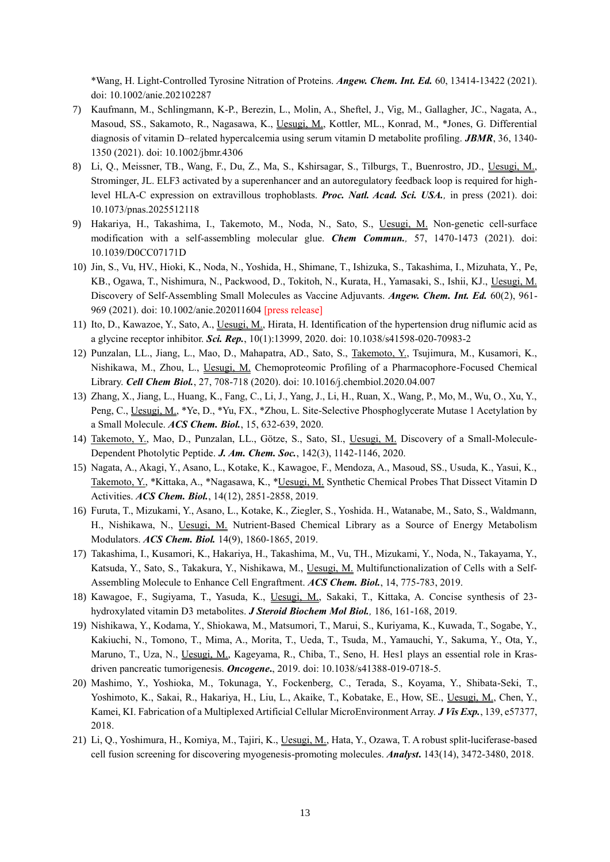\*Wang, H. Light-Controlled Tyrosine Nitration of Proteins. *Angew. Chem. Int. Ed.* 60, 13414-13422 (2021). doi: 10.1002/anie.202102287

- 7) Kaufmann, M., Schlingmann, K-P., Berezin, L., Molin, A., Sheftel, J., Vig, M., Gallagher, JC., Nagata, A., Masoud, SS., Sakamoto, R., Nagasawa, K., Uesugi, M., Kottler, ML., Konrad, M., \*Jones, G. Differential diagnosis of vitamin D–related hypercalcemia using serum vitamin D metabolite profiling. *JBMR*, 36, 1340- 1350 (2021). doi: 10.1002/jbmr.4306
- 8) Li, Q., Meissner, TB., Wang, F., Du, Z., Ma, S., Kshirsagar, S., Tilburgs, T., Buenrostro, JD., Uesugi, M., Strominger, JL. ELF3 activated by a superenhancer and an autoregulatory feedback loop is required for highlevel HLA-C expression on extravillous trophoblasts. *Proc. Natl. Acad. Sci. USA.,* in press (2021). doi: [10.1073/pnas.2025512118](https://doi.org/10.1073/pnas.2025512118)
- 9) Hakariya, H., Takashima, I., Takemoto, M., Noda, N., Sato, S., Uesugi, M. Non-genetic cell-surface modification with a self-assembling molecular glue. *Chem Commun.,* 57, 1470-1473 (2021). doi: [10.1039/D0CC07171D](https://doi.org/10.1039/D0CC07171D)
- 10) Jin, S., Vu, HV., Hioki, K., Noda, N., Yoshida, H., Shimane, T., Ishizuka, S., Takashima, I., Mizuhata, Y., Pe, KB., Ogawa, T., Nishimura, N., Packwood, D., Tokitoh, N., Kurata, H., Yamasaki, S., Ishii, KJ., Uesugi, M. Discovery of Self-Assembling Small Molecules as Vaccine Adjuvants. *Angew. Chem. Int. Ed.* 60(2), 961- 969 (2021). doi: [10.1002/anie.202011604](https://doi.org/10.1002/anie.202011604) [press release]
- 11) Ito, D., Kawazoe, Y., Sato, A., Uesugi, M., Hirata, H. Identification of the hypertension drug niflumic acid as a glycine receptor inhibitor. *Sci. Rep.*, 10(1):13999, 2020. doi: 10.1038/s41598-020-70983-2
- 12) Punzalan, LL., Jiang, L., Mao, D., Mahapatra, AD., Sato, S., Takemoto, Y., Tsujimura, M., Kusamori, K., Nishikawa, M., Zhou, L., Uesugi, M. Chemoproteomic Profiling of a Pharmacophore-Focused Chemical Library. *Cell Chem Biol.*, 27, 708-718 (2020). doi[: 10.1016/j.chembiol.2020.04.007](https://doi.org/10.1016/j.chembiol.2020.04.007)
- 13) Zhang, X., Jiang, L., Huang, K., Fang, C., Li, J., Yang, J., Li, H., Ruan, X., Wang, P., Mo, M., Wu, O., Xu, Y., Peng, C., Uesugi, M., \*Ye, D., \*Yu, FX., \*Zhou, L. Site-Selective Phosphoglycerate Mutase 1 Acetylation by a Small Molecule. *ACS Chem. Biol.*, 15, 632-639, 2020.
- 14) Takemoto, Y., Mao, D., Punzalan, LL., Götze, S., Sato, SI., Uesugi, M. Discovery of a Small-Molecule-Dependent Photolytic Peptide. *J. Am. Chem. Soc.*, 142(3), 1142-1146, 2020.
- 15) Nagata, A., Akagi, Y., Asano, L., Kotake, K., Kawagoe, F., Mendoza, A., Masoud, SS., Usuda, K., Yasui, K., Takemoto, Y., \*Kittaka, A., \*Nagasawa, K., \*Uesugi, M. Synthetic Chemical Probes That Dissect Vitamin D Activities. *ACS Chem. Biol.*, 14(12), 2851-2858, 2019.
- 16) Furuta, T., Mizukami, Y., Asano, L., Kotake, K., Ziegler, S., Yoshida. H., Watanabe, M., Sato, S., Waldmann, H., Nishikawa, N., Uesugi, M. Nutrient-Based Chemical Library as a Source of Energy Metabolism Modulators. *ACS Chem. Biol.* 14(9), 1860-1865, 2019.
- 17) Takashima, I., Kusamori, K., Hakariya, H., Takashima, M., Vu, TH., Mizukami, Y., Noda, N., Takayama, Y., Katsuda, Y., Sato, S., Takakura, Y., Nishikawa, M., Uesugi, M. Multifunctionalization of Cells with a Self-Assembling Molecule to Enhance Cell Engraftment. *ACS Chem. Biol.*, 14, 775-783, 2019.
- 18) Kawagoe, F., Sugiyama, T., Yasuda, K., Uesugi, M., Sakaki, T., Kittaka, A. Concise synthesis of 23 hydroxylated vitamin D3 metabolites. *J Steroid Biochem Mol Biol.,* 186, 161-168, 2019.
- 19) Nishikawa, Y., Kodama, Y., Shiokawa, M., Matsumori, T., Marui, S., Kuriyama, K., Kuwada, T., Sogabe, Y., Kakiuchi, N., Tomono, T., Mima, A., Morita, T., Ueda, T., Tsuda, M., Yamauchi, Y., Sakuma, Y., Ota, Y., Maruno, T., Uza, N., Uesugi, M., Kageyama, R., Chiba, T., Seno, H. Hes1 plays an essential role in Krasdriven pancreatic tumorigenesis. *Oncogene***.**, 2019. doi: 10.1038/s41388-019-0718-5.
- 20) Mashimo, Y., Yoshioka, M., Tokunaga, Y., Fockenberg, C., Terada, S., Koyama, Y., Shibata-Seki, T., Yoshimoto, K., Sakai, R., Hakariya, H., Liu, L., Akaike, T., Kobatake, E., How, SE., Uesugi, M., Chen, Y., Kamei, KI. Fabrication of a Multiplexed Artificial Cellular MicroEnvironment Array. *[J Vis Exp.](https://www.ncbi.nlm.nih.gov/pubmed/?term=Fabrication+of+a+Multiplexed+Artificial+Cellular+MicroEnvironment+Array.)*, 139, e57377, 2018.
- 21) Li, Q., Yoshimura, H., Komiya, M., Tajiri, K., Uesugi, M., Hata, Y., Ozawa, T. A robust split-luciferase-based cell fusion screening for discovering myogenesis-promoting molecules. *Analyst***.** 143(14), 3472-3480, 2018.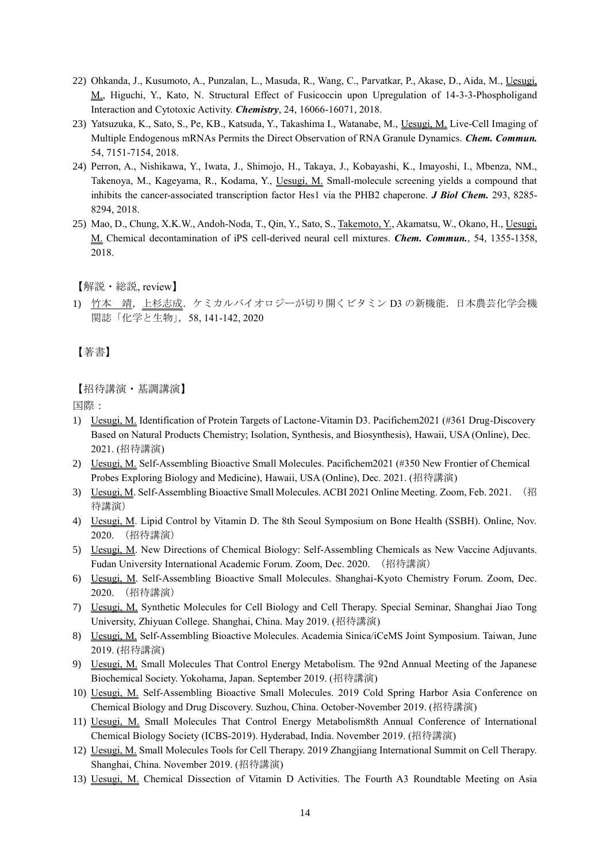- 22) [Ohkanda, J.](https://www.ncbi.nlm.nih.gov/pubmed/?term=Ohkanda%20J%5BAuthor%5D&cauthor=true&cauthor_uid=30238524), [Kusumoto, A.,](https://www.ncbi.nlm.nih.gov/pubmed/?term=Kusumoto%20A%5BAuthor%5D&cauthor=true&cauthor_uid=30238524) [Punzalan, L.](https://www.ncbi.nlm.nih.gov/pubmed/?term=Punzalan%20L%5BAuthor%5D&cauthor=true&cauthor_uid=30238524), [Masuda, R.,](https://www.ncbi.nlm.nih.gov/pubmed/?term=Masuda%20R%5BAuthor%5D&cauthor=true&cauthor_uid=30238524) [Wang, C](https://www.ncbi.nlm.nih.gov/pubmed/?term=Wang%20C%5BAuthor%5D&cauthor=true&cauthor_uid=30238524)., [Parvatkar, P.](https://www.ncbi.nlm.nih.gov/pubmed/?term=Parvatkar%20P%5BAuthor%5D&cauthor=true&cauthor_uid=30238524), [Akase, D.](https://www.ncbi.nlm.nih.gov/pubmed/?term=Akase%20D%5BAuthor%5D&cauthor=true&cauthor_uid=30238524), [Aida, M.](https://www.ncbi.nlm.nih.gov/pubmed/?term=Aida%20M%5BAuthor%5D&cauthor=true&cauthor_uid=30238524), [Uesugi,](https://www.ncbi.nlm.nih.gov/pubmed/?term=Uesugi%20M%5BAuthor%5D&cauthor=true&cauthor_uid=30238524)  [M.](https://www.ncbi.nlm.nih.gov/pubmed/?term=Uesugi%20M%5BAuthor%5D&cauthor=true&cauthor_uid=30238524), [Higuchi, Y.](https://www.ncbi.nlm.nih.gov/pubmed/?term=Higuchi%20Y%5BAuthor%5D&cauthor=true&cauthor_uid=30238524), [Kato, N.](https://www.ncbi.nlm.nih.gov/pubmed/?term=Kato%20N%5BAuthor%5D&cauthor=true&cauthor_uid=30238524) Structural Effect of Fusicoccin upon Upregulation of 14-3-3-Phospholigand Interaction and Cytotoxic Activity. *Chemistry*, 24, 16066-16071, 2018.
- 23) Yatsuzuka, K., Sato, S., Pe, KB., Katsuda, Y., Takashima I., Watanabe, M., Uesugi, M. Live-Cell Imaging of Multiple Endogenous mRNAs Permits the Direct Observation of RNA Granule Dynamics. *Chem. Commun.* 54, 7151-7154, 2018.
- 24) Perron, A., Nishikawa, Y., Iwata, J., Shimojo, H., Takaya, J., Kobayashi, K., Imayoshi, I., Mbenza, NM., Takenoya, M., Kageyama, R., Kodama, Y., Uesugi, M. Small-molecule screening yields a compound that inhibits the cancer-associated transcription factor Hes1 via the PHB2 chaperone. *J Biol Chem.* 293, 8285- 8294, 2018.
- 25) Mao, D., Chung, X.K.W., Andoh-Noda, T., Qin, Y., Sato, S., Takemoto, Y., Akamatsu, W., Okano, H., Uesugi, M. Chemical decontamination of iPS cell‐derived neural cell mixtures. *Chem. Commun.*, 54, 1355-1358, 2018.

【解説・総説, review】

1) 竹本 靖,上杉志成.ケミカルバイオロジーが切り開くビタミン D3 の新機能.日本農芸化学会機 関誌「化学と生物」,58, 141-142, 2020

【著書】

### 【招待講演・基調講演】

国際:

- 1) Uesugi, M. Identification of Protein Targets of Lactone-Vitamin D3. Pacifichem2021 (#361 Drug-Discovery Based on Natural Products Chemistry; Isolation, Synthesis, and Biosynthesis), Hawaii, USA (Online), Dec. 2021. (招待講演)
- 2) Uesugi, M. Self-Assembling Bioactive Small Molecules. Pacifichem2021 (#350 New Frontier of Chemical Probes Exploring Biology and Medicine), Hawaii, USA (Online), Dec. 2021. (招待講演)
- 3) Uesugi, M. Self-Assembling Bioactive Small Molecules. ACBI 2021 Online Meeting. Zoom, Feb. 2021. (招 待講演)
- 4) Uesugi, M. Lipid Control by Vitamin D. The 8th Seoul Symposium on Bone Health (SSBH). Online, Nov. 2020. (招待講演)
- 5) Uesugi, M. New Directions of Chemical Biology: Self-Assembling Chemicals as New Vaccine Adjuvants. Fudan University International Academic Forum. Zoom, Dec. 2020. (招待講演)
- 6) Uesugi, M. Self-Assembling Bioactive Small Molecules. Shanghai-Kyoto Chemistry Forum. Zoom, Dec. 2020. (招待講演)
- 7) Uesugi, M. Synthetic Molecules for Cell Biology and Cell Therapy. Special Seminar, Shanghai Jiao Tong University, Zhiyuan College. Shanghai, China. May 2019. (招待講演)
- 8) Uesugi, M. Self-Assembling Bioactive Molecules. Academia Sinica/iCeMS Joint Symposium. Taiwan, June 2019. (招待講演)
- 9) Uesugi, M. Small Molecules That Control Energy Metabolism. The 92nd Annual Meeting of the Japanese Biochemical Society. Yokohama, Japan. September 2019. (招待講演)
- 10) Uesugi, M. Self-Assembling Bioactive Small Molecules. 2019 Cold Spring Harbor Asia Conference on Chemical Biology and Drug Discovery. Suzhou, China. October-November 2019. (招待講演)
- 11) Uesugi, M. Small Molecules That Control Energy Metabolism8th Annual Conference of International Chemical Biology Society (ICBS-2019). Hyderabad, India. November 2019. (招待講演)
- 12) Uesugi, M. Small Molecules Tools for Cell Therapy. 2019 Zhangjiang International Summit on Cell Therapy. Shanghai, China. November 2019. (招待講演)
- 13) Uesugi, M. Chemical Dissection of Vitamin D Activities. The Fourth A3 Roundtable Meeting on Asia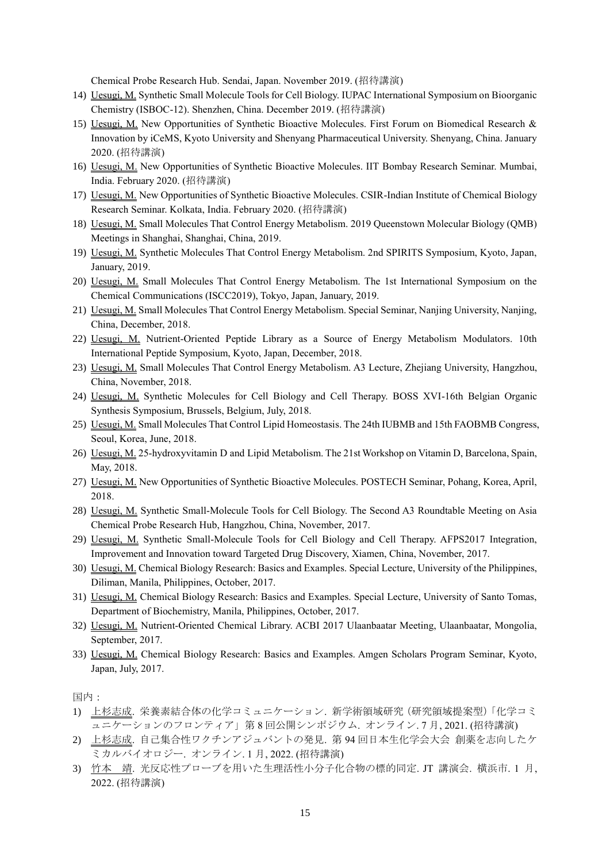Chemical Probe Research Hub. Sendai, Japan. November 2019. (招待講演)

- 14) Uesugi, M. Synthetic Small Molecule Tools for Cell Biology. IUPAC International Symposium on Bioorganic Chemistry (ISBOC-12). Shenzhen, China. December 2019. (招待講演)
- 15) Uesugi, M. New Opportunities of Synthetic Bioactive Molecules. First Forum on Biomedical Research & Innovation by iCeMS, Kyoto University and Shenyang Pharmaceutical University. Shenyang, China. January 2020. (招待講演)
- 16) Uesugi, M. New Opportunities of Synthetic Bioactive Molecules. IIT Bombay Research Seminar. Mumbai, India. February 2020. (招待講演)
- 17) Uesugi, M. New Opportunities of Synthetic Bioactive Molecules. CSIR-Indian Institute of Chemical Biology Research Seminar. Kolkata, India. February 2020. (招待講演)
- 18) Uesugi, M. Small Molecules That Control Energy Metabolism. 2019 Queenstown Molecular Biology (QMB) Meetings in Shanghai, Shanghai, China, 2019.
- 19) Uesugi, M. Synthetic Molecules That Control Energy Metabolism. 2nd SPIRITS Symposium, Kyoto, Japan, January, 2019.
- 20) Uesugi, M. Small Molecules That Control Energy Metabolism. The 1st International Symposium on the Chemical Communications (ISCC2019), Tokyo, Japan, January, 2019.
- 21) Uesugi, M. Small Molecules That Control Energy Metabolism. Special Seminar, Nanjing University, Nanjing, China, December, 2018.
- 22) Uesugi, M. Nutrient-Oriented Peptide Library as a Source of Energy Metabolism Modulators. 10th International Peptide Symposium, Kyoto, Japan, December, 2018.
- 23) Uesugi, M. Small Molecules That Control Energy Metabolism. A3 Lecture, Zhejiang University, Hangzhou, China, November, 2018.
- 24) Uesugi, M. Synthetic Molecules for Cell Biology and Cell Therapy. BOSS XVI-16th Belgian Organic Synthesis Symposium, Brussels, Belgium, July, 2018.
- 25) Uesugi, M. Small Molecules That Control Lipid Homeostasis. The 24th IUBMB and 15th FAOBMB Congress, Seoul, Korea, June, 2018.
- 26) Uesugi, M. 25-hydroxyvitamin D and Lipid Metabolism. The 21st Workshop on Vitamin D, Barcelona, Spain, May, 2018.
- 27) Uesugi, M. New Opportunities of Synthetic Bioactive Molecules. POSTECH Seminar, Pohang, Korea, April, 2018.
- 28) Uesugi, M. Synthetic Small-Molecule Tools for Cell Biology. The Second A3 Roundtable Meeting on Asia Chemical Probe Research Hub, Hangzhou, China, November, 2017.
- 29) Uesugi, M. Synthetic Small-Molecule Tools for Cell Biology and Cell Therapy. AFPS2017 Integration, Improvement and Innovation toward Targeted Drug Discovery, Xiamen, China, November, 2017.
- 30) Uesugi, M. Chemical Biology Research: Basics and Examples. Special Lecture, University of the Philippines, Diliman, Manila, Philippines, October, 2017.
- 31) Uesugi, M. Chemical Biology Research: Basics and Examples. Special Lecture, University of Santo Tomas, Department of Biochemistry, Manila, Philippines, October, 2017.
- 32) Uesugi, M. Nutrient-Oriented Chemical Library. ACBI 2017 Ulaanbaatar Meeting, Ulaanbaatar, Mongolia, September, 2017.
- 33) Uesugi, M. Chemical Biology Research: Basics and Examples. Amgen Scholars Program Seminar, Kyoto, Japan, July, 2017.

国内:

- 1) 上杉志成. 栄養素結合体の化学コミュニケーション. 新学術領域研究(研究領域提案型)「化学コミ ュニケーションのフロンティア」第 8 回公開シンポジウム. オンライン. 7 月, 2021. (招待講演)
- 2) 上杉志成. 自己集合性ワクチンアジュバントの発見. 第 94 回日本生化学会大会 創薬を志向したケ ミカルバイオロジー. オンライン. 1 月, 2022. (招待講演)
- 3) 竹本 靖. 光反応性プローブを用いた生理活性小分子化合物の標的同定. JT 講演会. 横浜市. 1 月, 2022. (招待講演)